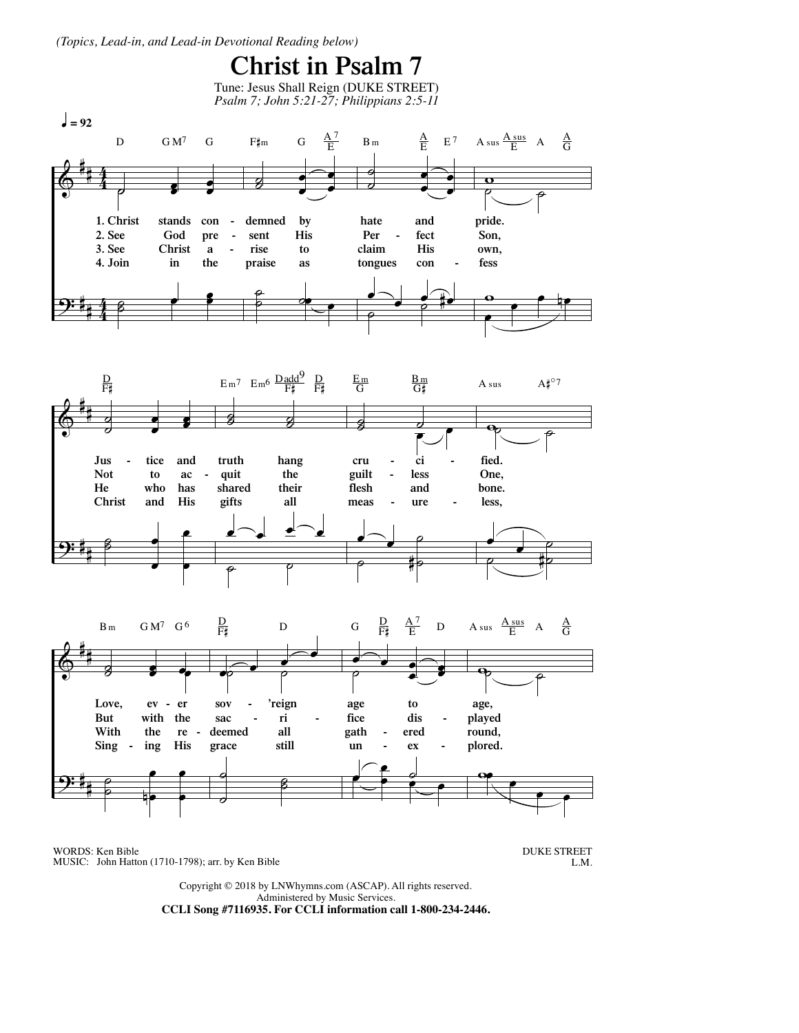(Topics, Lead-in, and Lead-in Devotional Reading below)

## **Christ in Psalm 7**





WORDS: Ken Bible MUSIC: John Hatton (1710-1798); arr. by Ken Bible **DUKE STREET**  ${\rm L.M.}$ 

Copyright © 2018 by LNWhymns.com (ASCAP). All rights reserved. Administered by Music Services. CCLI Song #7116935. For CCLI information call 1-800-234-2446.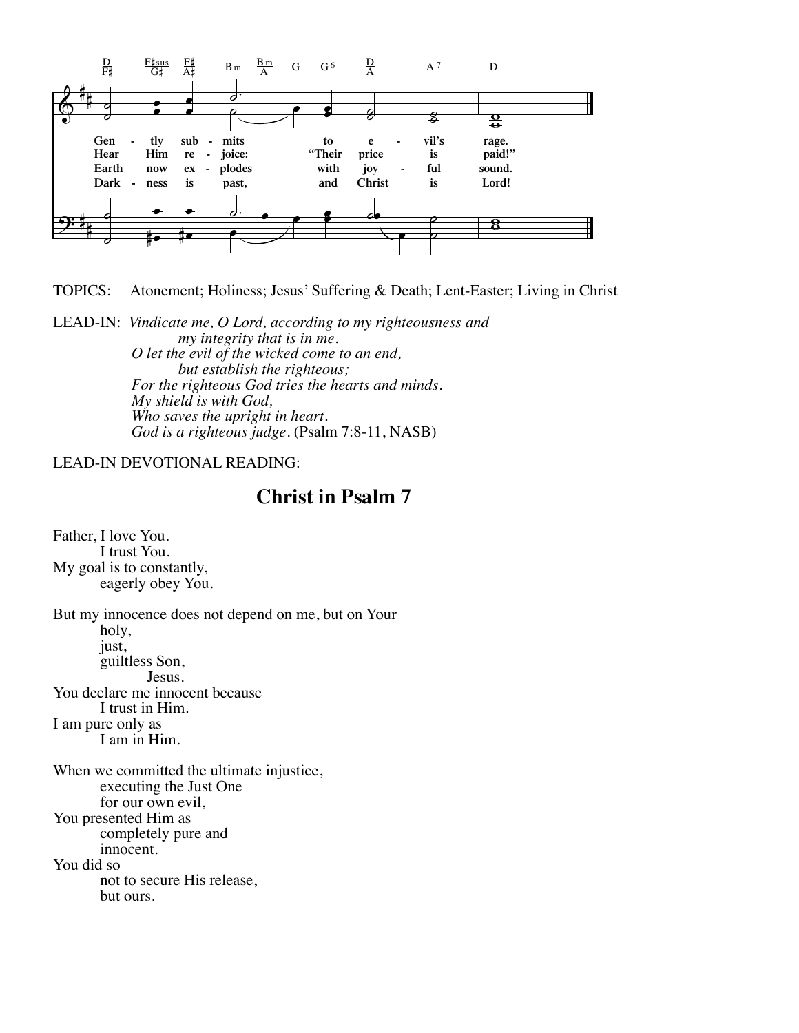

**TOPICS:** Atonement; Holiness; Jesus' Suffering & Death; Lent-Easter; Living in Christ

LEAD-IN: Vindicate me, O Lord, according to my righteousness and my integrity that is in me. O let the evil of the wicked come to an end, but establish the righteous; For the righteous God tries the hearts and minds. My shield is with God, Who saves the upright in heart. God is a righteous judge. (Psalm 7:8-11, NASB)

## **LEAD-IN DEVOTIONAL READING:**

## **Christ in Psalm 7**

Father, I love You. I trust You. My goal is to constantly, eagerly obey You.

But my innocence does not depend on me, but on Your holy, just, guiltless Son, **Iesus**. You declare me innocent because I trust in Him. I am pure only as I am in Him. When we committed the ultimate injustice, executing the Just One for our own evil. You presented Him as completely pure and innocent. You did so not to secure His release, but ours.